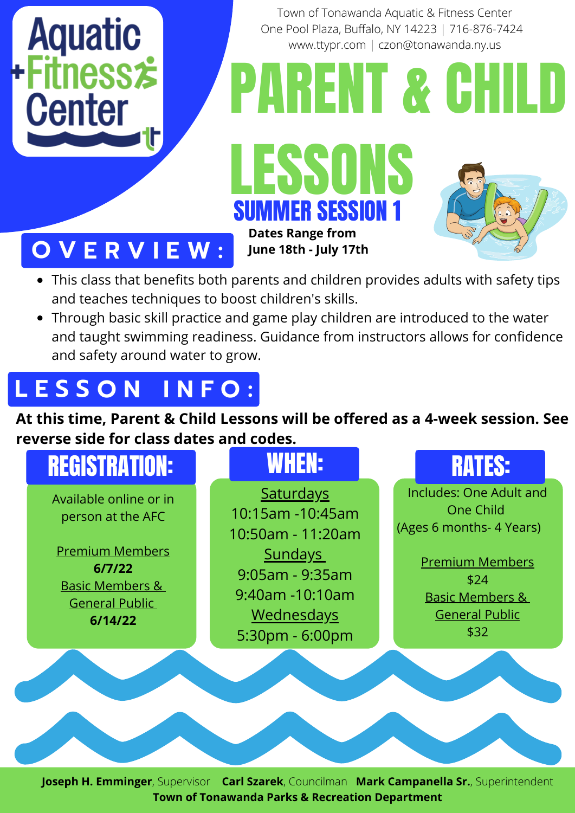

Town of Tonawanda Aquatic & Fitness Center One Pool Plaza, Buffalo, NY 14223 | 716-876-7424 www.ttypr.com | czon@tonawanda.ny.us

PARENT & CHILD





## **O V E R V I E W :**

- This class that benefits both parents and children provides adults with safety tips and teaches techniques to boost children's skills.
- Through basic skill practice and game play children are introduced to the water and taught swimming readiness. Guidance from instructors allows for confidence and safety around water to grow.

# **L E S S O N I N F O :**

**At this time, Parent & Child Lessons will be offered as a 4-week session. See reverse side for class dates and codes.**



**Joseph H. Emminger**, Supervisor **Carl Szarek**, Councilman **Mark Campanella Sr.**, Superintendent **Town of Tonawanda Parks & Recreation Department**